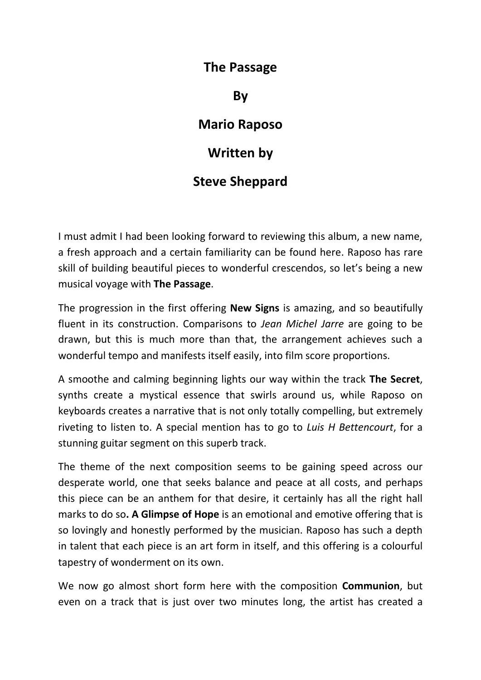## **The Passage**

**By**

## **Mario Raposo**

## **Written by**

## **Steve Sheppard**

I must admit I had been looking forward to reviewing this album, a new name, a fresh approach and a certain familiarity can be found here. Raposo has rare skill of building beautiful pieces to wonderful crescendos, so let's being a new musical voyage with **The Passage**.

The progression in the first offering **New Signs** is amazing, and so beautifully fluent in its construction. Comparisons to *Jean Michel Jarre* are going to be drawn, but this is much more than that, the arrangement achieves such a wonderful tempo and manifests itself easily, into film score proportions.

A smoothe and calming beginning lights our way within the track **The Secret**, synths create a mystical essence that swirls around us, while Raposo on keyboards creates a narrative that is not only totally compelling, but extremely riveting to listen to. A special mention has to go to *Luis H Bettencourt*, for a stunning guitar segment on this superb track.

The theme of the next composition seems to be gaining speed across our desperate world, one that seeks balance and peace at all costs, and perhaps this piece can be an anthem for that desire, it certainly has all the right hall marks to do so**. A Glimpse of Hope** is an emotional and emotive offering that is so lovingly and honestly performed by the musician. Raposo has such a depth in talent that each piece is an art form in itself, and this offering is a colourful tapestry of wonderment on its own.

We now go almost short form here with the composition **Communion**, but even on a track that is just over two minutes long, the artist has created a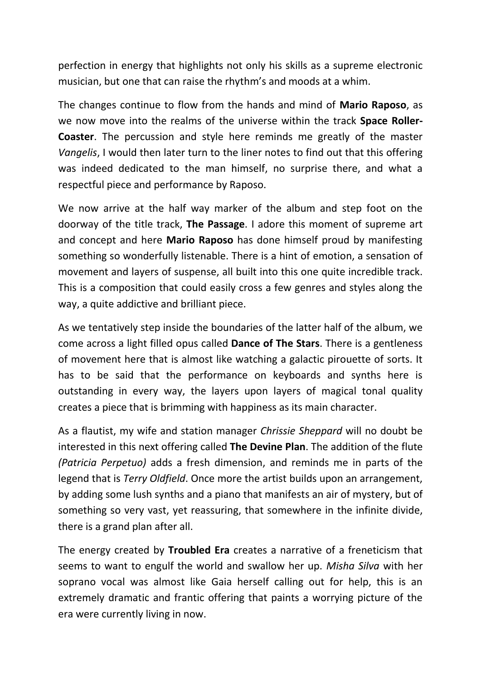perfection in energy that highlights not only his skills as a supreme electronic musician, but one that can raise the rhythm's and moods at a whim.

The changes continue to flow from the hands and mind of **Mario Raposo**, as we now move into the realms of the universe within the track **Space Roller-Coaster**. The percussion and style here reminds me greatly of the master *Vangelis*, I would then later turn to the liner notes to find out that this offering was indeed dedicated to the man himself, no surprise there, and what a respectful piece and performance by Raposo.

We now arrive at the half way marker of the album and step foot on the doorway of the title track, **The Passage**. I adore this moment of supreme art and concept and here **Mario Raposo** has done himself proud by manifesting something so wonderfully listenable. There is a hint of emotion, a sensation of movement and layers of suspense, all built into this one quite incredible track. This is a composition that could easily cross a few genres and styles along the way, a quite addictive and brilliant piece.

As we tentatively step inside the boundaries of the latter half of the album, we come across a light filled opus called **Dance of The Stars**. There is a gentleness of movement here that is almost like watching a galactic pirouette of sorts. It has to be said that the performance on keyboards and synths here is outstanding in every way, the layers upon layers of magical tonal quality creates a piece that is brimming with happiness as its main character.

As a flautist, my wife and station manager *Chrissie Sheppard* will no doubt be interested in this next offering called **The Devine Plan**. The addition of the flute *(Patricia Perpetuo)* adds a fresh dimension, and reminds me in parts of the legend that is *Terry Oldfield*. Once more the artist builds upon an arrangement, by adding some lush synths and a piano that manifests an air of mystery, but of something so very vast, yet reassuring, that somewhere in the infinite divide, there is a grand plan after all.

The energy created by **Troubled Era** creates a narrative of a freneticism that seems to want to engulf the world and swallow her up. *Misha Silva* with her soprano vocal was almost like Gaia herself calling out for help, this is an extremely dramatic and frantic offering that paints a worrying picture of the era were currently living in now.